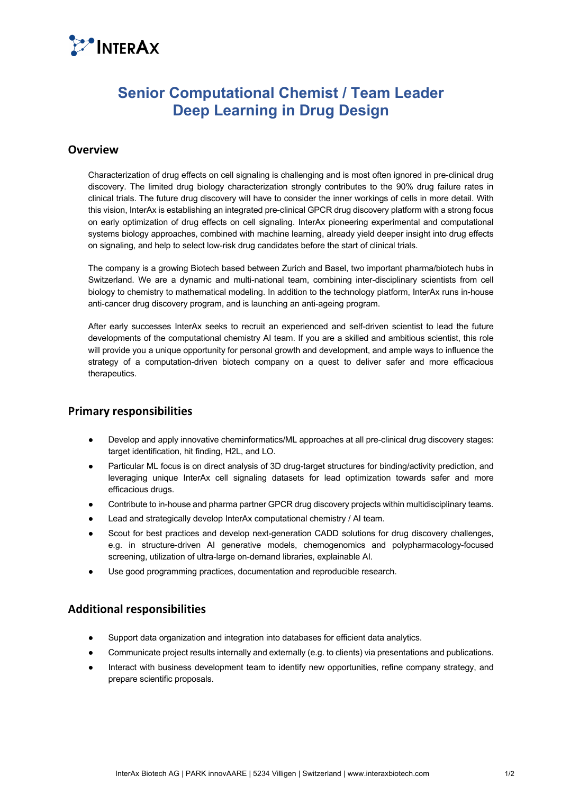

# **Senior Computational Chemist / Team Leader Deep Learning in Drug Design**

### **Overview**

Characterization of drug effects on cell signaling is challenging and is most often ignored in pre-clinical drug discovery. The limited drug biology characterization strongly contributes to the 90% drug failure rates in clinical trials. The future drug discovery will have to consider the inner workings of cells in more detail. With this vision, InterAx is establishing an integrated pre-clinical GPCR drug discovery platform with a strong focus on early optimization of drug effects on cell signaling. InterAx pioneering experimental and computational systems biology approaches, combined with machine learning, already yield deeper insight into drug effects on signaling, and help to select low-risk drug candidates before the start of clinical trials.

The company is a growing Biotech based between Zurich and Basel, two important pharma/biotech hubs in Switzerland. We are a dynamic and multi-national team, combining inter-disciplinary scientists from cell biology to chemistry to mathematical modeling. In addition to the technology platform, InterAx runs in-house anti-cancer drug discovery program, and is launching an anti-ageing program.

After early successes InterAx seeks to recruit an experienced and self-driven scientist to lead the future developments of the computational chemistry AI team. If you are a skilled and ambitious scientist, this role will provide you a unique opportunity for personal growth and development, and ample ways to influence the strategy of a computation-driven biotech company on a quest to deliver safer and more efficacious therapeutics.

### **Primary responsibilities**

- Develop and apply innovative cheminformatics/ML approaches at all pre-clinical drug discovery stages: target identification, hit finding, H2L, and LO.
- Particular ML focus is on direct analysis of 3D drug-target structures for binding/activity prediction, and leveraging unique InterAx cell signaling datasets for lead optimization towards safer and more efficacious drugs.
- Contribute to in-house and pharma partner GPCR drug discovery projects within multidisciplinary teams.
- Lead and strategically develop InterAx computational chemistry / AI team.
- Scout for best practices and develop next-generation CADD solutions for drug discovery challenges, e.g. in structure-driven AI generative models, chemogenomics and polypharmacology-focused screening, utilization of ultra-large on-demand libraries, explainable AI.
- Use good programming practices, documentation and reproducible research.

## **Additional responsibilities**

- Support data organization and integration into databases for efficient data analytics.
- Communicate project results internally and externally (e.g. to clients) via presentations and publications.
- Interact with business development team to identify new opportunities, refine company strategy, and prepare scientific proposals.